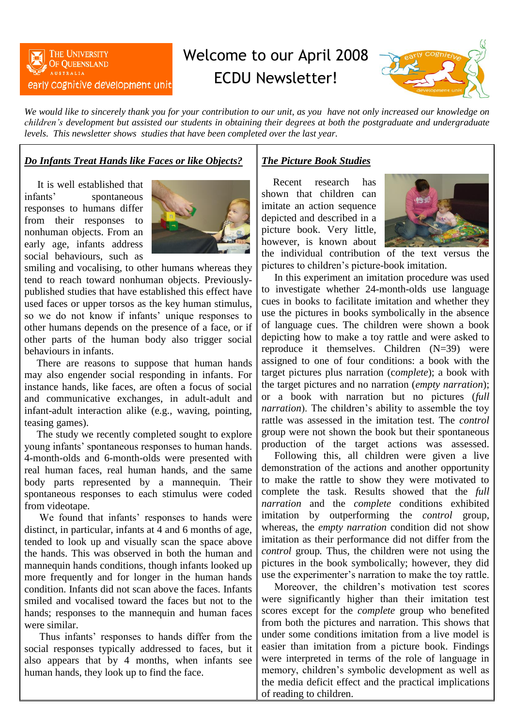

# Welcome to our April 2008 ECDU Newsletter!



*We would like to sincerely thank you for your contribution to our unit, as you have not only increased our knowledge on children's development but assisted our students in obtaining their degrees at both the postgraduate and undergraduate levels. This newsletter shows studies that have been completed over the last year.*

# *Do Infants Treat Hands like Faces or like Objects?*

It is well established that infants' spontaneous responses to humans differ from their responses to nonhuman objects. From an early age, infants address social behaviours, such as



smiling and vocalising, to other humans whereas they tend to reach toward nonhuman objects. Previouslypublished studies that have established this effect have used faces or upper torsos as the key human stimulus, so we do not know if infants' unique responses to other humans depends on the presence of a face, or if other parts of the human body also trigger social behaviours in infants.

There are reasons to suppose that human hands may also engender social responding in infants. For instance hands, like faces, are often a focus of social and communicative exchanges, in adult-adult and infant-adult interaction alike (e.g., waving, pointing, teasing games).

The study we recently completed sought to explore young infants' spontaneous responses to human hands. 4-month-olds and 6-month-olds were presented with real human faces, real human hands, and the same body parts represented by a mannequin. Their spontaneous responses to each stimulus were coded from videotape.

We found that infants' responses to hands were distinct, in particular, infants at 4 and 6 months of age, tended to look up and visually scan the space above the hands. This was observed in both the human and mannequin hands conditions, though infants looked up more frequently and for longer in the human hands condition. Infants did not scan above the faces. Infants smiled and vocalised toward the faces but not to the hands; responses to the mannequin and human faces were similar.

Thus infants' responses to hands differ from the social responses typically addressed to faces, but it also appears that by 4 months, when infants see human hands, they look up to find the face.

## *The Picture Book Studies*

Recent research has shown that children can imitate an action sequence depicted and described in a picture book. Very little, however, is known about



the individual contribution of the text versus the pictures to children's picture-book imitation.

In this experiment an imitation procedure was used to investigate whether 24-month-olds use language cues in books to facilitate imitation and whether they use the pictures in books symbolically in the absence of language cues. The children were shown a book depicting how to make a toy rattle and were asked to reproduce it themselves. Children (N=39) were assigned to one of four conditions: a book with the target pictures plus narration (c*omplete*); a book with the target pictures and no narration (*empty narration*); or a book with narration but no pictures (*full narration*). The children's ability to assemble the toy rattle was assessed in the imitation test. The *control* group were not shown the book but their spontaneous production of the target actions was assessed.

Following this, all children were given a live demonstration of the actions and another opportunity to make the rattle to show they were motivated to complete the task. Results showed that the *full narration* and the *complete* conditions exhibited imitation by outperforming the *control* group, whereas, the *empty narration* condition did not show imitation as their performance did not differ from the *control* group*.* Thus, the children were not using the pictures in the book symbolically; however, they did use the experimenter's narration to make the toy rattle.

Moreover, the children's motivation test scores were significantly higher than their imitation test scores except for the *complete* group who benefited from both the pictures and narration. This shows that under some conditions imitation from a live model is easier than imitation from a picture book. Findings were interpreted in terms of the role of language in memory, children's symbolic development as well as the media deficit effect and the practical implications of reading to children.